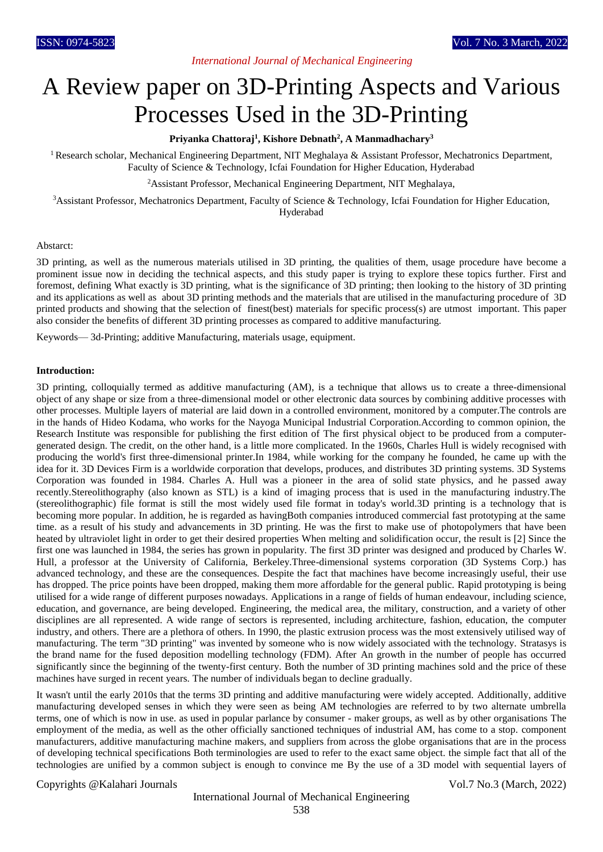# *International Journal of Mechanical Engineering*

# A Review paper on 3D-Printing Aspects and Various Processes Used in the 3D-Printing

#### **Priyanka Chattoraj<sup>1</sup> , Kishore Debnath<sup>2</sup> , A Manmadhachary<sup>3</sup>**

<sup>1</sup> Research scholar, Mechanical Engineering Department, NIT Meghalaya & Assistant Professor, Mechatronics Department, Faculty of Science & Technology, Icfai Foundation for Higher Education, Hyderabad

<sup>2</sup>Assistant Professor, Mechanical Engineering Department, NIT Meghalaya,

<sup>3</sup>Assistant Professor, Mechatronics Department, Faculty of Science & Technology, Icfai Foundation for Higher Education, Hyderabad

#### Abstarct:

3D printing, as well as the numerous materials utilised in 3D printing, the qualities of them, usage procedure have become a prominent issue now in deciding the technical aspects, and this study paper is trying to explore these topics further. First and foremost, defining What exactly is 3D printing, what is the significance of 3D printing; then looking to the history of 3D printing and its applications as well as about 3D printing methods and the materials that are utilised in the manufacturing procedure of 3D printed products and showing that the selection of finest(best) materials for specific process(s) are utmost important. This paper also consider the benefits of different 3D printing processes as compared to additive manufacturing.

Keywords— 3d-Printing; additive Manufacturing, materials usage, equipment.

#### **Introduction:**

3D printing, colloquially termed as additive manufacturing (AM), is a technique that allows us to create a three-dimensional object of any shape or size from a three-dimensional model or other electronic data sources by combining additive processes with other processes. Multiple layers of material are laid down in a controlled environment, monitored by a computer.The controls are in the hands of Hideo Kodama, who works for the Nayoga Municipal Industrial Corporation.According to common opinion, the Research Institute was responsible for publishing the first edition of The first physical object to be produced from a computergenerated design. The credit, on the other hand, is a little more complicated. In the 1960s, Charles Hull is widely recognised with producing the world's first three-dimensional printer.In 1984, while working for the company he founded, he came up with the idea for it. 3D Devices Firm is a worldwide corporation that develops, produces, and distributes 3D printing systems. 3D Systems Corporation was founded in 1984. Charles A. Hull was a pioneer in the area of solid state physics, and he passed away recently.Stereolithography (also known as STL) is a kind of imaging process that is used in the manufacturing industry.The (stereolithographic) file format is still the most widely used file format in today's world.3D printing is a technology that is becoming more popular. In addition, he is regarded as havingBoth companies introduced commercial fast prototyping at the same time. as a result of his study and advancements in 3D printing. He was the first to make use of photopolymers that have been heated by ultraviolet light in order to get their desired properties When melting and solidification occur, the result is [2] Since the first one was launched in 1984, the series has grown in popularity. The first 3D printer was designed and produced by Charles W. Hull, a professor at the University of California, Berkeley.Three-dimensional systems corporation (3D Systems Corp.) has advanced technology, and these are the consequences. Despite the fact that machines have become increasingly useful, their use has dropped. The price points have been dropped, making them more affordable for the general public. Rapid prototyping is being utilised for a wide range of different purposes nowadays. Applications in a range of fields of human endeavour, including science, education, and governance, are being developed. Engineering, the medical area, the military, construction, and a variety of other disciplines are all represented. A wide range of sectors is represented, including architecture, fashion, education, the computer industry, and others. There are a plethora of others. In 1990, the plastic extrusion process was the most extensively utilised way of manufacturing. The term "3D printing" was invented by someone who is now widely associated with the technology. Stratasys is the brand name for the fused deposition modelling technology (FDM). After An growth in the number of people has occurred significantly since the beginning of the twenty-first century. Both the number of 3D printing machines sold and the price of these machines have surged in recent years. The number of individuals began to decline gradually.

It wasn't until the early 2010s that the terms 3D printing and additive manufacturing were widely accepted. Additionally, additive manufacturing developed senses in which they were seen as being AM technologies are referred to by two alternate umbrella terms, one of which is now in use. as used in popular parlance by consumer - maker groups, as well as by other organisations The employment of the media, as well as the other officially sanctioned techniques of industrial AM, has come to a stop. component manufacturers, additive manufacturing machine makers, and suppliers from across the globe organisations that are in the process of developing technical specifications Both terminologies are used to refer to the exact same object. the simple fact that all of the technologies are unified by a common subject is enough to convince me By the use of a 3D model with sequential layers of

#### Copyrights @Kalahari Journals Vol.7 No.3 (March, 2022)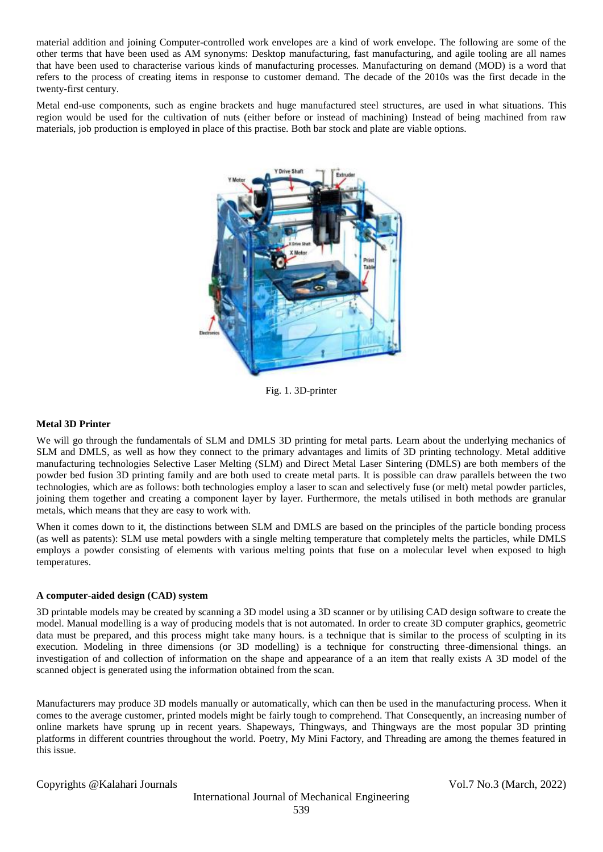material addition and joining Computer-controlled work envelopes are a kind of work envelope. The following are some of the other terms that have been used as AM synonyms: Desktop manufacturing, fast manufacturing, and agile tooling are all names that have been used to characterise various kinds of manufacturing processes. Manufacturing on demand (MOD) is a word that refers to the process of creating items in response to customer demand. The decade of the 2010s was the first decade in the twenty-first century.

Metal end-use components, such as engine brackets and huge manufactured steel structures, are used in what situations. This region would be used for the cultivation of nuts (either before or instead of machining) Instead of being machined from raw materials, job production is employed in place of this practise. Both bar stock and plate are viable options.



Fig. 1. 3D-printer

#### **Metal 3D Printer**

We will go through the fundamentals of SLM and DMLS 3D printing for metal parts. Learn about the underlying mechanics of SLM and DMLS, as well as how they connect to the primary advantages and limits of 3D printing technology. Metal additive manufacturing technologies Selective Laser Melting (SLM) and Direct Metal Laser Sintering (DMLS) are both members of the powder bed fusion 3D printing family and are both used to create metal parts. It is possible can draw parallels between the two technologies, which are as follows: both technologies employ a laser to scan and selectively fuse (or melt) metal powder particles, joining them together and creating a component layer by layer. Furthermore, the metals utilised in both methods are granular metals, which means that they are easy to work with.

When it comes down to it, the distinctions between SLM and DMLS are based on the principles of the particle bonding process (as well as patents): SLM use metal powders with a single melting temperature that completely melts the particles, while DMLS employs a powder consisting of elements with various melting points that fuse on a molecular level when exposed to high temperatures.

#### **A computer-aided design (CAD) system**

3D printable models may be created by scanning a 3D model using a 3D scanner or by utilising CAD design software to create the model. Manual modelling is a way of producing models that is not automated. In order to create 3D computer graphics, geometric data must be prepared, and this process might take many hours. is a technique that is similar to the process of sculpting in its execution. Modeling in three dimensions (or 3D modelling) is a technique for constructing three-dimensional things. an investigation of and collection of information on the shape and appearance of a an item that really exists A 3D model of the scanned object is generated using the information obtained from the scan.

Manufacturers may produce 3D models manually or automatically, which can then be used in the manufacturing process. When it comes to the average customer, printed models might be fairly tough to comprehend. That Consequently, an increasing number of online markets have sprung up in recent years. Shapeways, Thingways, and Thingways are the most popular 3D printing platforms in different countries throughout the world. Poetry, My Mini Factory, and Threading are among the themes featured in this issue.

Copyrights @Kalahari Journals Vol.7 No.3 (March, 2022)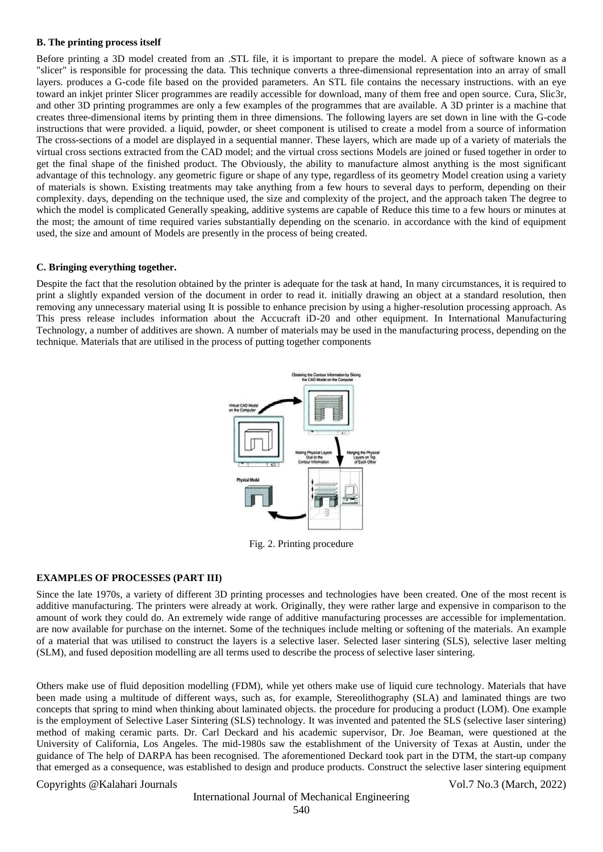#### **B. The printing process itself**

Before printing a 3D model created from an .STL file, it is important to prepare the model. A piece of software known as a "slicer" is responsible for processing the data. This technique converts a three-dimensional representation into an array of small layers. produces a G-code file based on the provided parameters. An STL file contains the necessary instructions. with an eye toward an inkjet printer Slicer programmes are readily accessible for download, many of them free and open source. Cura, Slic3r, and other 3D printing programmes are only a few examples of the programmes that are available. A 3D printer is a machine that creates three-dimensional items by printing them in three dimensions. The following layers are set down in line with the G-code instructions that were provided. a liquid, powder, or sheet component is utilised to create a model from a source of information The cross-sections of a model are displayed in a sequential manner. These layers, which are made up of a variety of materials the virtual cross sections extracted from the CAD model; and the virtual cross sections Models are joined or fused together in order to get the final shape of the finished product. The Obviously, the ability to manufacture almost anything is the most significant advantage of this technology. any geometric figure or shape of any type, regardless of its geometry Model creation using a variety of materials is shown. Existing treatments may take anything from a few hours to several days to perform, depending on their complexity. days, depending on the technique used, the size and complexity of the project, and the approach taken The degree to which the model is complicated Generally speaking, additive systems are capable of Reduce this time to a few hours or minutes at the most; the amount of time required varies substantially depending on the scenario. in accordance with the kind of equipment used, the size and amount of Models are presently in the process of being created.

#### **C. Bringing everything together.**

Despite the fact that the resolution obtained by the printer is adequate for the task at hand, In many circumstances, it is required to print a slightly expanded version of the document in order to read it. initially drawing an object at a standard resolution, then removing any unnecessary material using It is possible to enhance precision by using a higher-resolution processing approach. As This press release includes information about the Accucraft iD-20 and other equipment. In International Manufacturing Technology, a number of additives are shown. A number of materials may be used in the manufacturing process, depending on the technique. Materials that are utilised in the process of putting together components



Fig. 2. Printing procedure

#### **EXAMPLES OF PROCESSES (PART III)**

Since the late 1970s, a variety of different 3D printing processes and technologies have been created. One of the most recent is additive manufacturing. The printers were already at work. Originally, they were rather large and expensive in comparison to the amount of work they could do. An extremely wide range of additive manufacturing processes are accessible for implementation. are now available for purchase on the internet. Some of the techniques include melting or softening of the materials. An example of a material that was utilised to construct the layers is a selective laser. Selected laser sintering (SLS), selective laser melting (SLM), and fused deposition modelling are all terms used to describe the process of selective laser sintering.

Others make use of fluid deposition modelling (FDM), while yet others make use of liquid cure technology. Materials that have been made using a multitude of different ways, such as, for example, Stereolithography (SLA) and laminated things are two concepts that spring to mind when thinking about laminated objects. the procedure for producing a product (LOM). One example is the employment of Selective Laser Sintering (SLS) technology. It was invented and patented the SLS (selective laser sintering) method of making ceramic parts. Dr. Carl Deckard and his academic supervisor, Dr. Joe Beaman, were questioned at the University of California, Los Angeles. The mid-1980s saw the establishment of the University of Texas at Austin, under the guidance of The help of DARPA has been recognised. The aforementioned Deckard took part in the DTM, the start-up company that emerged as a consequence, was established to design and produce products. Construct the selective laser sintering equipment

#### Copyrights @Kalahari Journals Vol.7 No.3 (March, 2022)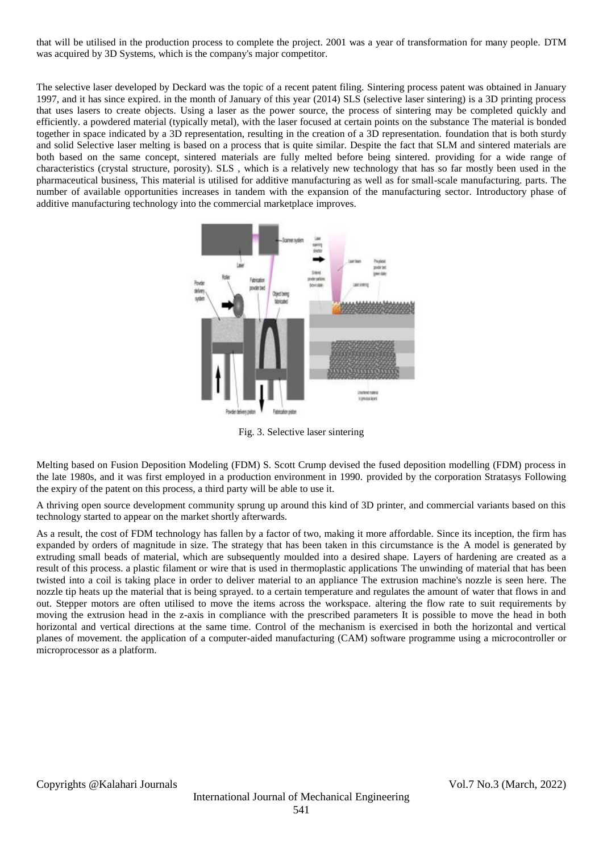that will be utilised in the production process to complete the project. 2001 was a year of transformation for many people. DTM was acquired by 3D Systems, which is the company's major competitor.

The selective laser developed by Deckard was the topic of a recent patent filing. Sintering process patent was obtained in January 1997, and it has since expired. in the month of January of this year (2014) SLS (selective laser sintering) is a 3D printing process that uses lasers to create objects. Using a laser as the power source, the process of sintering may be completed quickly and efficiently. a powdered material (typically metal), with the laser focused at certain points on the substance The material is bonded together in space indicated by a 3D representation, resulting in the creation of a 3D representation. foundation that is both sturdy and solid Selective laser melting is based on a process that is quite similar. Despite the fact that SLM and sintered materials are both based on the same concept, sintered materials are fully melted before being sintered. providing for a wide range of characteristics (crystal structure, porosity). SLS , which is a relatively new technology that has so far mostly been used in the pharmaceutical business, This material is utilised for additive manufacturing as well as for small-scale manufacturing. parts. The number of available opportunities increases in tandem with the expansion of the manufacturing sector. Introductory phase of additive manufacturing technology into the commercial marketplace improves.



Fig. 3. Selective laser sintering

Melting based on Fusion Deposition Modeling (FDM) S. Scott Crump devised the fused deposition modelling (FDM) process in the late 1980s, and it was first employed in a production environment in 1990. provided by the corporation Stratasys Following the expiry of the patent on this process, a third party will be able to use it.

A thriving open source development community sprung up around this kind of 3D printer, and commercial variants based on this technology started to appear on the market shortly afterwards.

As a result, the cost of FDM technology has fallen by a factor of two, making it more affordable. Since its inception, the firm has expanded by orders of magnitude in size. The strategy that has been taken in this circumstance is the A model is generated by extruding small beads of material, which are subsequently moulded into a desired shape. Layers of hardening are created as a result of this process. a plastic filament or wire that is used in thermoplastic applications The unwinding of material that has been twisted into a coil is taking place in order to deliver material to an appliance The extrusion machine's nozzle is seen here. The nozzle tip heats up the material that is being sprayed. to a certain temperature and regulates the amount of water that flows in and out. Stepper motors are often utilised to move the items across the workspace. altering the flow rate to suit requirements by moving the extrusion head in the z-axis in compliance with the prescribed parameters It is possible to move the head in both horizontal and vertical directions at the same time. Control of the mechanism is exercised in both the horizontal and vertical planes of movement. the application of a computer-aided manufacturing (CAM) software programme using a microcontroller or microprocessor as a platform.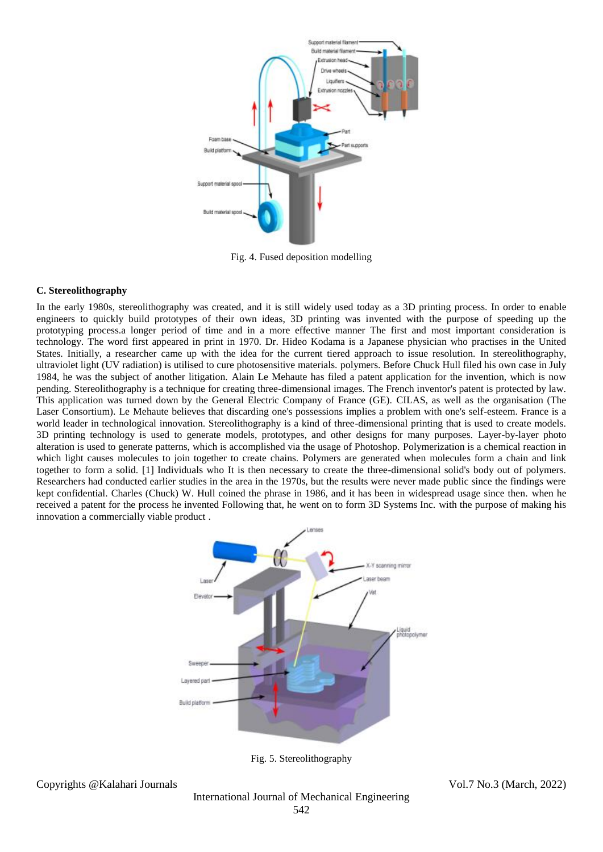

Fig. 4. Fused deposition modelling

#### **C. Stereolithography**

In the early 1980s, stereolithography was created, and it is still widely used today as a 3D printing process. In order to enable engineers to quickly build prototypes of their own ideas, 3D printing was invented with the purpose of speeding up the prototyping process.a longer period of time and in a more effective manner The first and most important consideration is technology. The word first appeared in print in 1970. Dr. Hideo Kodama is a Japanese physician who practises in the United States. Initially, a researcher came up with the idea for the current tiered approach to issue resolution. In stereolithography, ultraviolet light (UV radiation) is utilised to cure photosensitive materials. polymers. Before Chuck Hull filed his own case in July 1984, he was the subject of another litigation. Alain Le Mehaute has filed a patent application for the invention, which is now pending. Stereolithography is a technique for creating three-dimensional images. The French inventor's patent is protected by law. This application was turned down by the General Electric Company of France (GE). CILAS, as well as the organisation (The Laser Consortium). Le Mehaute believes that discarding one's possessions implies a problem with one's self-esteem. France is a world leader in technological innovation. Stereolithography is a kind of three-dimensional printing that is used to create models. 3D printing technology is used to generate models, prototypes, and other designs for many purposes. Layer-by-layer photo alteration is used to generate patterns, which is accomplished via the usage of Photoshop. Polymerization is a chemical reaction in which light causes molecules to join together to create chains. Polymers are generated when molecules form a chain and link together to form a solid. [1] Individuals who It is then necessary to create the three-dimensional solid's body out of polymers. Researchers had conducted earlier studies in the area in the 1970s, but the results were never made public since the findings were kept confidential. Charles (Chuck) W. Hull coined the phrase in 1986, and it has been in widespread usage since then. when he received a patent for the process he invented Following that, he went on to form 3D Systems Inc. with the purpose of making his innovation a commercially viable product .



Fig. 5. Stereolithography

Copyrights @Kalahari Journals Vol.7 No.3 (March, 2022)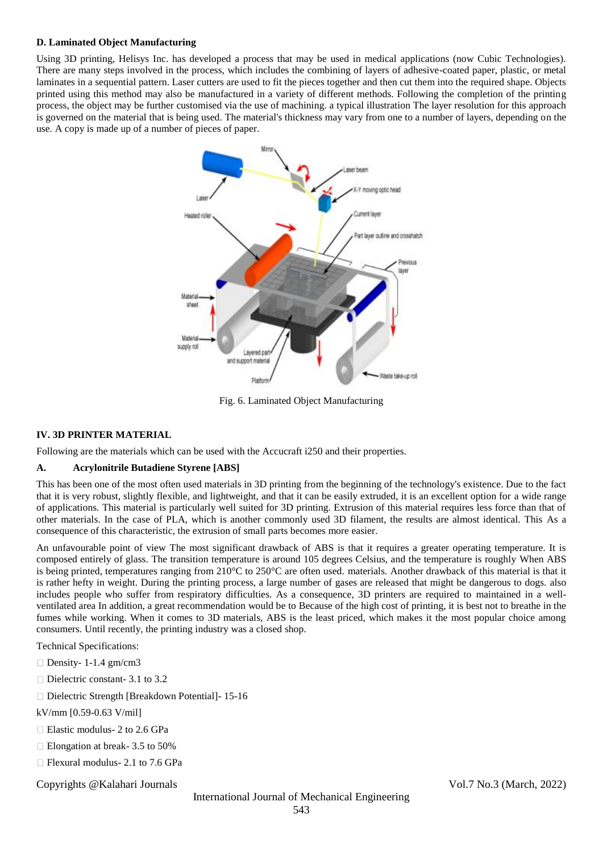#### **D. Laminated Object Manufacturing**

Using 3D printing, Helisys Inc. has developed a process that may be used in medical applications (now Cubic Technologies). There are many steps involved in the process, which includes the combining of layers of adhesive-coated paper, plastic, or metal laminates in a sequential pattern. Laser cutters are used to fit the pieces together and then cut them into the required shape. Objects printed using this method may also be manufactured in a variety of different methods. Following the completion of the printing process, the object may be further customised via the use of machining. a typical illustration The layer resolution for this approach is governed on the material that is being used. The material's thickness may vary from one to a number of layers, depending on the use. A copy is made up of a number of pieces of paper.



Fig. 6. Laminated Object Manufacturing

#### **IV. 3D PRINTER MATERIAL**

Following are the materials which can be used with the Accucraft i250 and their properties.

#### **A. Acrylonitrile Butadiene Styrene [ABS]**

This has been one of the most often used materials in 3D printing from the beginning of the technology's existence. Due to the fact that it is very robust, slightly flexible, and lightweight, and that it can be easily extruded, it is an excellent option for a wide range of applications. This material is particularly well suited for 3D printing. Extrusion of this material requires less force than that of other materials. In the case of PLA, which is another commonly used 3D filament, the results are almost identical. This As a consequence of this characteristic, the extrusion of small parts becomes more easier.

An unfavourable point of view The most significant drawback of ABS is that it requires a greater operating temperature. It is composed entirely of glass. The transition temperature is around 105 degrees Celsius, and the temperature is roughly When ABS is being printed, temperatures ranging from  $210^{\circ}$ C to  $250^{\circ}$ C are often used. materials. Another drawback of this material is that it is rather hefty in weight. During the printing process, a large number of gases are released that might be dangerous to dogs. also includes people who suffer from respiratory difficulties. As a consequence, 3D printers are required to maintained in a wellventilated area In addition, a great recommendation would be to Because of the high cost of printing, it is best not to breathe in the fumes while working. When it comes to 3D materials, ABS is the least priced, which makes it the most popular choice among consumers. Until recently, the printing industry was a closed shop.

Technical Specifications:

- Density- 1-1.4 gm/cm3
- $\Box$  Dielectric constant- 3.1 to 3.2
- □ Dielectric Strength [Breakdown Potential] 15-16

kV/mm [0.59-0.63 V/mil]

- □ Elastic modulus- 2 to 2.6 GPa
- □ Elongation at break- 3.5 to 50%
- $\Box$  Flexural modulus- 2.1 to 7.6 GPa

Copyrights @Kalahari Journals Vol.7 No.3 (March, 2022)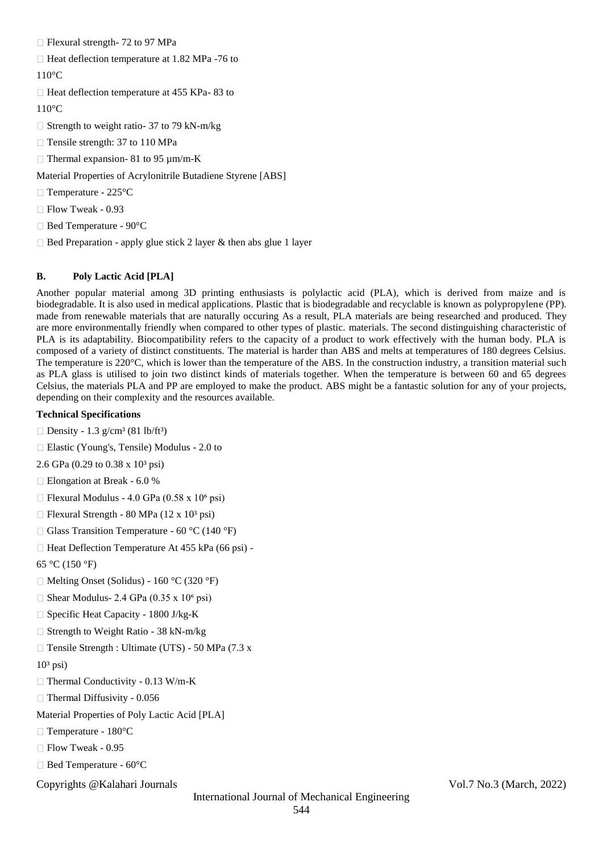$\Box$  Flexural strength- 72 to 97 MPa

 $\Box$  Heat deflection temperature at 1.82 MPa -76 to

### 110°C

 $\Box$  Heat deflection temperature at 455 KPa-83 to

110°C

 $\Box$  Strength to weight ratio- 37 to 79 kN-m/kg

 $\Box$  Tensile strength: 37 to 110 MPa

 $\Box$  Thermal expansion- 81 to 95  $\mu$ m/m-K

Material Properties of Acrylonitrile Butadiene Styrene [ABS]

□ Temperature - 225°C

Flow Tweak - 0.93

Bed Temperature - 90°C

 $\Box$  Bed Preparation - apply glue stick 2 layer & then abs glue 1 layer

# **B. Poly Lactic Acid [PLA]**

Another popular material among 3D printing enthusiasts is polylactic acid (PLA), which is derived from maize and is biodegradable. It is also used in medical applications. Plastic that is biodegradable and recyclable is known as polypropylene (PP). made from renewable materials that are naturally occuring As a result, PLA materials are being researched and produced. They are more environmentally friendly when compared to other types of plastic. materials. The second distinguishing characteristic of PLA is its adaptability. Biocompatibility refers to the capacity of a product to work effectively with the human body. PLA is composed of a variety of distinct constituents. The material is harder than ABS and melts at temperatures of 180 degrees Celsius. The temperature is 220°C, which is lower than the temperature of the ABS. In the construction industry, a transition material such as PLA glass is utilised to join two distinct kinds of materials together. When the temperature is between 60 and 65 degrees Celsius, the materials PLA and PP are employed to make the product. ABS might be a fantastic solution for any of your projects, depending on their complexity and the resources available.

#### **Technical Specifications**

 $\Box$  Density - 1.3 g/cm<sup>3</sup> (81 lb/ft<sup>3</sup>)

Elastic (Young's, Tensile) Modulus - 2.0 to

2.6 GPa (0.29 to 0.38 x 10<sup>3</sup> psi)

□ Elongation at Break - 6.0 %

 $\Box$  Flexural Modulus - 4.0 GPa (0.58 x 10<sup>6</sup> psi)

 $\Box$  Flexural Strength - 80 MPa (12 x 10<sup>3</sup> psi)

 $\Box$  Glass Transition Temperature - 60 °C (140 °F)

 $\Box$  Heat Deflection Temperature At 455 kPa (66 psi) -

65 °C (150 °F)

 $\Box$  Melting Onset (Solidus) - 160 °C (320 °F)

 $\Box$  Shear Modulus- 2.4 GPa (0.35 x 10<sup>6</sup> psi)

 $\Box$  Specific Heat Capacity - 1800 J/kg-K

 $\Box$  Strength to Weight Ratio - 38 kN-m/kg

 $\Box$  Tensile Strength : Ultimate (UTS) - 50 MPa (7.3 x)

 $10<sup>3</sup>$  psi)

 $\Box$  Thermal Conductivity - 0.13 W/m-K

 $\Box$  Thermal Diffusivity - 0.056

Material Properties of Poly Lactic Acid [PLA]

□ Temperature - 180°C

 $\Box$  Flow Tweak - 0.95

Bed Temperature - 60°C

Copyrights @Kalahari Journals Vol.7 No.3 (March, 2022)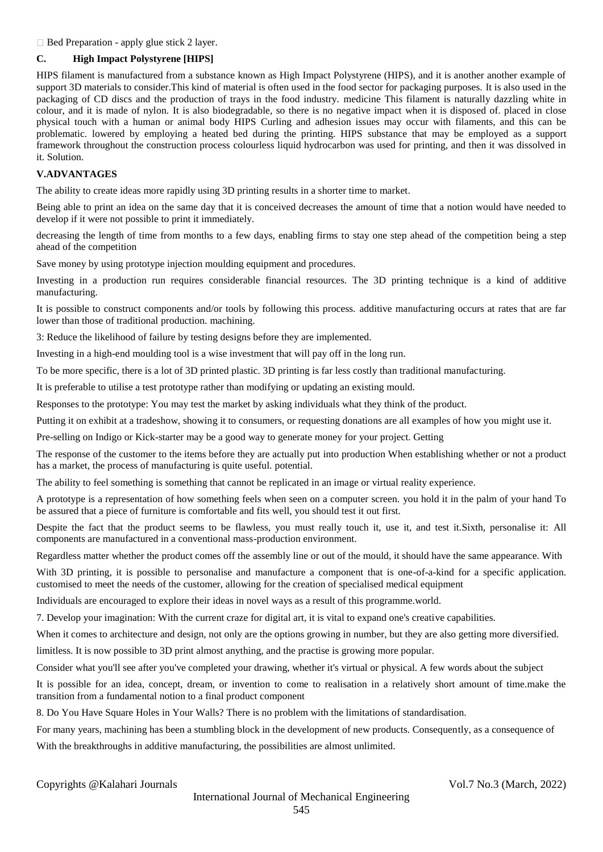$\Box$  Bed Preparation - apply glue stick 2 layer.

#### **C. High Impact Polystyrene [HIPS]**

HIPS filament is manufactured from a substance known as High Impact Polystyrene (HIPS), and it is another another example of support 3D materials to consider.This kind of material is often used in the food sector for packaging purposes. It is also used in the packaging of CD discs and the production of trays in the food industry. medicine This filament is naturally dazzling white in colour, and it is made of nylon. It is also biodegradable, so there is no negative impact when it is disposed of. placed in close physical touch with a human or animal body HIPS Curling and adhesion issues may occur with filaments, and this can be problematic. lowered by employing a heated bed during the printing. HIPS substance that may be employed as a support framework throughout the construction process colourless liquid hydrocarbon was used for printing, and then it was dissolved in it. Solution.

### **V.ADVANTAGES**

The ability to create ideas more rapidly using 3D printing results in a shorter time to market.

Being able to print an idea on the same day that it is conceived decreases the amount of time that a notion would have needed to develop if it were not possible to print it immediately.

decreasing the length of time from months to a few days, enabling firms to stay one step ahead of the competition being a step ahead of the competition

Save money by using prototype injection moulding equipment and procedures.

Investing in a production run requires considerable financial resources. The 3D printing technique is a kind of additive manufacturing.

It is possible to construct components and/or tools by following this process. additive manufacturing occurs at rates that are far lower than those of traditional production. machining.

3: Reduce the likelihood of failure by testing designs before they are implemented.

Investing in a high-end moulding tool is a wise investment that will pay off in the long run.

To be more specific, there is a lot of 3D printed plastic. 3D printing is far less costly than traditional manufacturing.

It is preferable to utilise a test prototype rather than modifying or updating an existing mould.

Responses to the prototype: You may test the market by asking individuals what they think of the product.

Putting it on exhibit at a tradeshow, showing it to consumers, or requesting donations are all examples of how you might use it.

Pre-selling on Indigo or Kick-starter may be a good way to generate money for your project. Getting

The response of the customer to the items before they are actually put into production When establishing whether or not a product has a market, the process of manufacturing is quite useful. potential.

The ability to feel something is something that cannot be replicated in an image or virtual reality experience.

A prototype is a representation of how something feels when seen on a computer screen. you hold it in the palm of your hand To be assured that a piece of furniture is comfortable and fits well, you should test it out first.

Despite the fact that the product seems to be flawless, you must really touch it, use it, and test it.Sixth, personalise it: All components are manufactured in a conventional mass-production environment.

Regardless matter whether the product comes off the assembly line or out of the mould, it should have the same appearance. With

With 3D printing, it is possible to personalise and manufacture a component that is one-of-a-kind for a specific application. customised to meet the needs of the customer, allowing for the creation of specialised medical equipment

Individuals are encouraged to explore their ideas in novel ways as a result of this programme.world.

7. Develop your imagination: With the current craze for digital art, it is vital to expand one's creative capabilities.

When it comes to architecture and design, not only are the options growing in number, but they are also getting more diversified.

limitless. It is now possible to 3D print almost anything, and the practise is growing more popular.

Consider what you'll see after you've completed your drawing, whether it's virtual or physical. A few words about the subject

It is possible for an idea, concept, dream, or invention to come to realisation in a relatively short amount of time.make the transition from a fundamental notion to a final product component

8. Do You Have Square Holes in Your Walls? There is no problem with the limitations of standardisation.

For many years, machining has been a stumbling block in the development of new products. Consequently, as a consequence of With the breakthroughs in additive manufacturing, the possibilities are almost unlimited.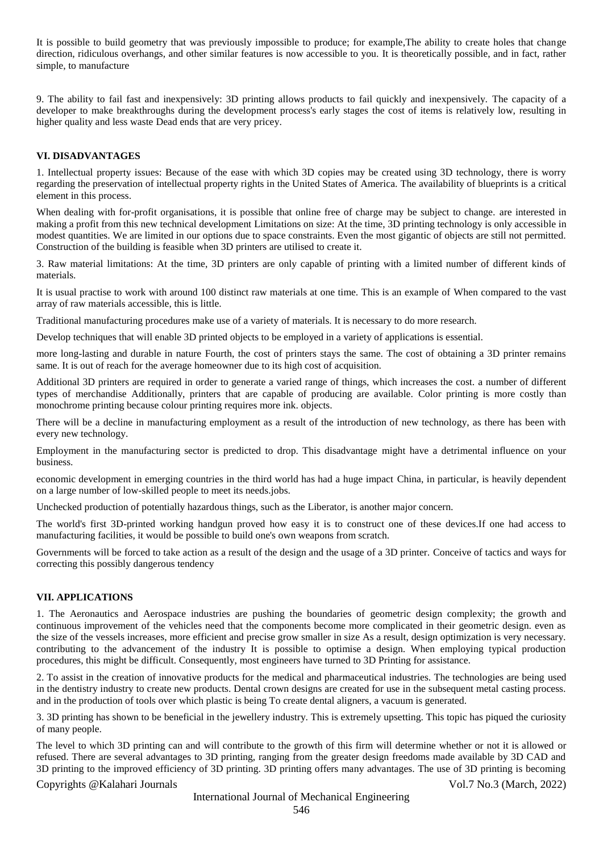It is possible to build geometry that was previously impossible to produce; for example,The ability to create holes that change direction, ridiculous overhangs, and other similar features is now accessible to you. It is theoretically possible, and in fact, rather simple, to manufacture

9. The ability to fail fast and inexpensively: 3D printing allows products to fail quickly and inexpensively. The capacity of a developer to make breakthroughs during the development process's early stages the cost of items is relatively low, resulting in higher quality and less waste Dead ends that are very pricey.

#### **VI. DISADVANTAGES**

1. Intellectual property issues: Because of the ease with which 3D copies may be created using 3D technology, there is worry regarding the preservation of intellectual property rights in the United States of America. The availability of blueprints is a critical element in this process.

When dealing with for-profit organisations, it is possible that online free of charge may be subject to change. are interested in making a profit from this new technical development Limitations on size: At the time, 3D printing technology is only accessible in modest quantities. We are limited in our options due to space constraints. Even the most gigantic of objects are still not permitted. Construction of the building is feasible when 3D printers are utilised to create it.

3. Raw material limitations: At the time, 3D printers are only capable of printing with a limited number of different kinds of materials.

It is usual practise to work with around 100 distinct raw materials at one time. This is an example of When compared to the vast array of raw materials accessible, this is little.

Traditional manufacturing procedures make use of a variety of materials. It is necessary to do more research.

Develop techniques that will enable 3D printed objects to be employed in a variety of applications is essential.

more long-lasting and durable in nature Fourth, the cost of printers stays the same. The cost of obtaining a 3D printer remains same. It is out of reach for the average homeowner due to its high cost of acquisition.

Additional 3D printers are required in order to generate a varied range of things, which increases the cost. a number of different types of merchandise Additionally, printers that are capable of producing are available. Color printing is more costly than monochrome printing because colour printing requires more ink. objects.

There will be a decline in manufacturing employment as a result of the introduction of new technology, as there has been with every new technology.

Employment in the manufacturing sector is predicted to drop. This disadvantage might have a detrimental influence on your business.

economic development in emerging countries in the third world has had a huge impact China, in particular, is heavily dependent on a large number of low-skilled people to meet its needs.jobs.

Unchecked production of potentially hazardous things, such as the Liberator, is another major concern.

The world's first 3D-printed working handgun proved how easy it is to construct one of these devices.If one had access to manufacturing facilities, it would be possible to build one's own weapons from scratch.

Governments will be forced to take action as a result of the design and the usage of a 3D printer. Conceive of tactics and ways for correcting this possibly dangerous tendency

#### **VII. APPLICATIONS**

1. The Aeronautics and Aerospace industries are pushing the boundaries of geometric design complexity; the growth and continuous improvement of the vehicles need that the components become more complicated in their geometric design. even as the size of the vessels increases, more efficient and precise grow smaller in size As a result, design optimization is very necessary. contributing to the advancement of the industry It is possible to optimise a design. When employing typical production procedures, this might be difficult. Consequently, most engineers have turned to 3D Printing for assistance.

2. To assist in the creation of innovative products for the medical and pharmaceutical industries. The technologies are being used in the dentistry industry to create new products. Dental crown designs are created for use in the subsequent metal casting process. and in the production of tools over which plastic is being To create dental aligners, a vacuum is generated.

3. 3D printing has shown to be beneficial in the jewellery industry. This is extremely upsetting. This topic has piqued the curiosity of many people.

The level to which 3D printing can and will contribute to the growth of this firm will determine whether or not it is allowed or refused. There are several advantages to 3D printing, ranging from the greater design freedoms made available by 3D CAD and 3D printing to the improved efficiency of 3D printing. 3D printing offers many advantages. The use of 3D printing is becoming

Copyrights @Kalahari Journals Vol.7 No.3 (March, 2022)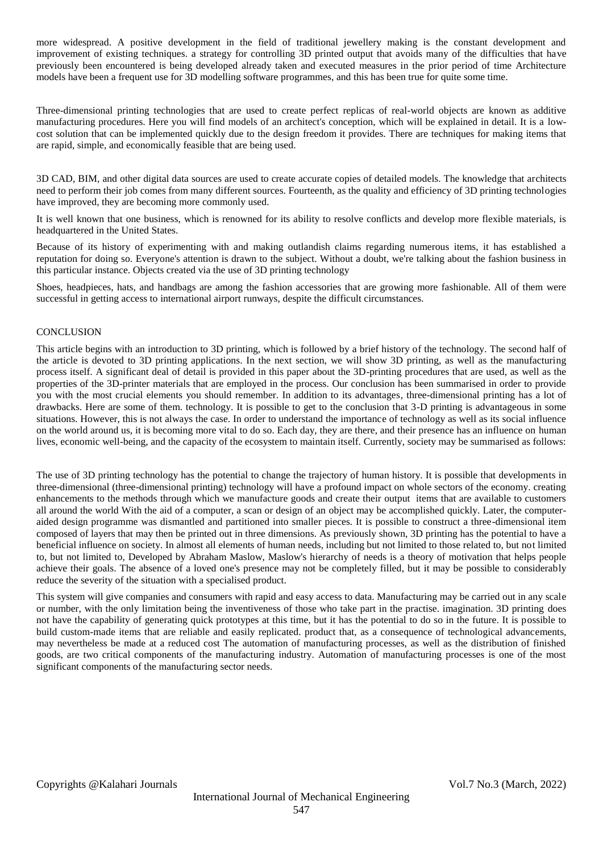more widespread. A positive development in the field of traditional jewellery making is the constant development and improvement of existing techniques. a strategy for controlling 3D printed output that avoids many of the difficulties that have previously been encountered is being developed already taken and executed measures in the prior period of time Architecture models have been a frequent use for 3D modelling software programmes, and this has been true for quite some time.

Three-dimensional printing technologies that are used to create perfect replicas of real-world objects are known as additive manufacturing procedures. Here you will find models of an architect's conception, which will be explained in detail. It is a lowcost solution that can be implemented quickly due to the design freedom it provides. There are techniques for making items that are rapid, simple, and economically feasible that are being used.

3D CAD, BIM, and other digital data sources are used to create accurate copies of detailed models. The knowledge that architects need to perform their job comes from many different sources. Fourteenth, as the quality and efficiency of 3D printing technologies have improved, they are becoming more commonly used.

It is well known that one business, which is renowned for its ability to resolve conflicts and develop more flexible materials, is headquartered in the United States.

Because of its history of experimenting with and making outlandish claims regarding numerous items, it has established a reputation for doing so. Everyone's attention is drawn to the subject. Without a doubt, we're talking about the fashion business in this particular instance. Objects created via the use of 3D printing technology

Shoes, headpieces, hats, and handbags are among the fashion accessories that are growing more fashionable. All of them were successful in getting access to international airport runways, despite the difficult circumstances.

#### **CONCLUSION**

This article begins with an introduction to 3D printing, which is followed by a brief history of the technology. The second half of the article is devoted to 3D printing applications. In the next section, we will show 3D printing, as well as the manufacturing process itself. A significant deal of detail is provided in this paper about the 3D-printing procedures that are used, as well as the properties of the 3D-printer materials that are employed in the process. Our conclusion has been summarised in order to provide you with the most crucial elements you should remember. In addition to its advantages, three-dimensional printing has a lot of drawbacks. Here are some of them. technology. It is possible to get to the conclusion that 3-D printing is advantageous in some situations. However, this is not always the case. In order to understand the importance of technology as well as its social influence on the world around us, it is becoming more vital to do so. Each day, they are there, and their presence has an influence on human lives, economic well-being, and the capacity of the ecosystem to maintain itself. Currently, society may be summarised as follows:

The use of 3D printing technology has the potential to change the trajectory of human history. It is possible that developments in three-dimensional (three-dimensional printing) technology will have a profound impact on whole sectors of the economy. creating enhancements to the methods through which we manufacture goods and create their output items that are available to customers all around the world With the aid of a computer, a scan or design of an object may be accomplished quickly. Later, the computeraided design programme was dismantled and partitioned into smaller pieces. It is possible to construct a three-dimensional item composed of layers that may then be printed out in three dimensions. As previously shown, 3D printing has the potential to have a beneficial influence on society. In almost all elements of human needs, including but not limited to those related to, but not limited to, but not limited to, Developed by Abraham Maslow, Maslow's hierarchy of needs is a theory of motivation that helps people achieve their goals. The absence of a loved one's presence may not be completely filled, but it may be possible to considerably reduce the severity of the situation with a specialised product.

This system will give companies and consumers with rapid and easy access to data. Manufacturing may be carried out in any scale or number, with the only limitation being the inventiveness of those who take part in the practise. imagination. 3D printing does not have the capability of generating quick prototypes at this time, but it has the potential to do so in the future. It is possible to build custom-made items that are reliable and easily replicated. product that, as a consequence of technological advancements, may nevertheless be made at a reduced cost The automation of manufacturing processes, as well as the distribution of finished goods, are two critical components of the manufacturing industry. Automation of manufacturing processes is one of the most significant components of the manufacturing sector needs.